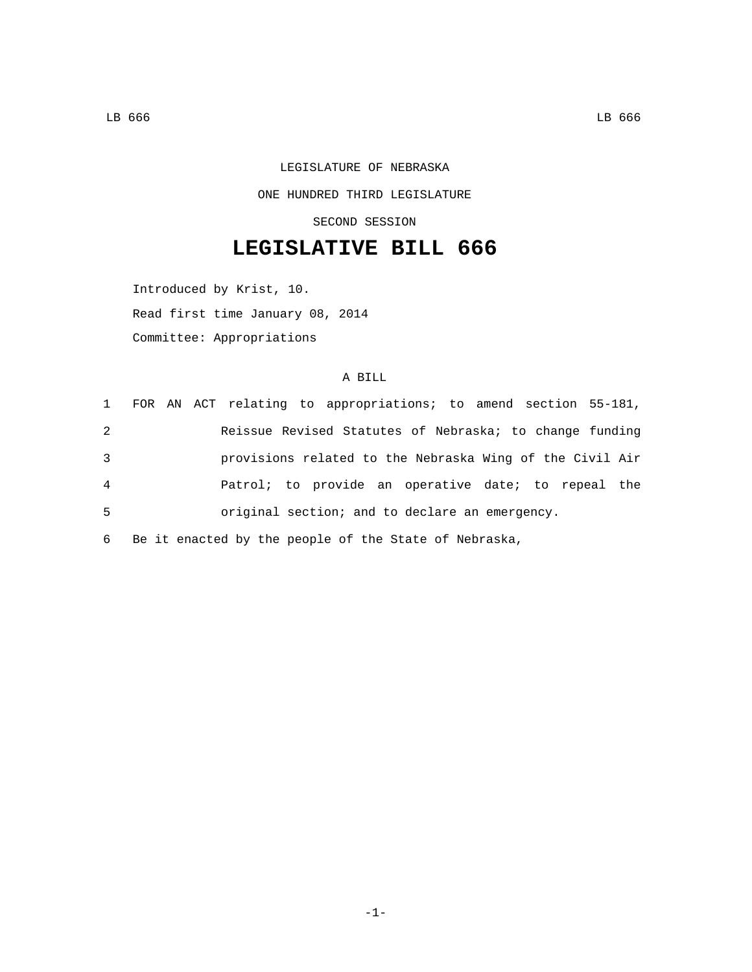LEGISLATURE OF NEBRASKA ONE HUNDRED THIRD LEGISLATURE SECOND SESSION

## **LEGISLATIVE BILL 666**

Introduced by Krist, 10. Read first time January 08, 2014 Committee: Appropriations

## A BILL

|   | 1 FOR AN ACT relating to appropriations; to amend section 55-181, |
|---|-------------------------------------------------------------------|
| 2 | Reissue Revised Statutes of Nebraska; to change funding           |
| 3 | provisions related to the Nebraska Wing of the Civil Air          |
| 4 | Patrol; to provide an operative date; to repeal the               |
| 5 | original section; and to declare an emergency.                    |
|   |                                                                   |

6 Be it enacted by the people of the State of Nebraska,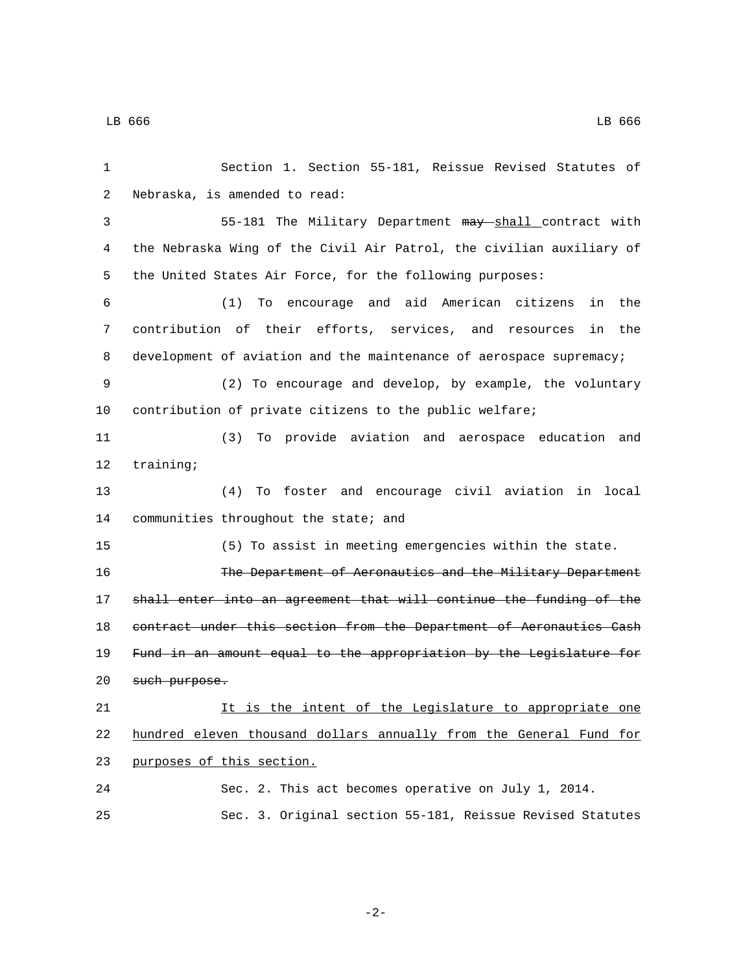| 1  | Section 1. Section 55-181, Reissue Revised Statutes of               |  |
|----|----------------------------------------------------------------------|--|
| 2  | Nebraska, is amended to read:                                        |  |
| 3  | 55-181 The Military Department may shall contract with               |  |
| 4  | the Nebraska Wing of the Civil Air Patrol, the civilian auxiliary of |  |
| 5  | the United States Air Force, for the following purposes:             |  |
| 6  | (1) To encourage and aid American citizens<br>the<br>in              |  |
| 7  | contribution of their efforts, services, and resources<br>the<br>in  |  |
| 8  | development of aviation and the maintenance of aerospace supremacy;  |  |
| 9  | (2) To encourage and develop, by example, the voluntary              |  |
| 10 | contribution of private citizens to the public welfare;              |  |
| 11 | (3)<br>To provide aviation and aerospace education and               |  |
| 12 | training:                                                            |  |
| 13 | To foster and encourage civil aviation in local<br>(4)               |  |
| 14 | communities throughout the state; and                                |  |
| 15 | (5) To assist in meeting emergencies within the state.               |  |
| 16 | The Department of Aeronautics and the Military Department            |  |
| 17 | shall enter into an agreement that will continue the funding of the  |  |
| 18 | contract under this section from the Department of Aeronautics Cash  |  |
| 19 | Fund in an amount equal to the appropriation by the Legislature for  |  |
| 20 | such purpose.                                                        |  |
| 21 | It is the intent of the Legislature to appropriate one               |  |
| 22 | hundred eleven thousand dollars annually from the General Fund for   |  |
| 23 | purposes of this section.                                            |  |
| 24 | Sec. 2. This act becomes operative on July 1, 2014.                  |  |
| 25 | Sec. 3. Original section 55-181, Reissue Revised Statutes            |  |

-2-